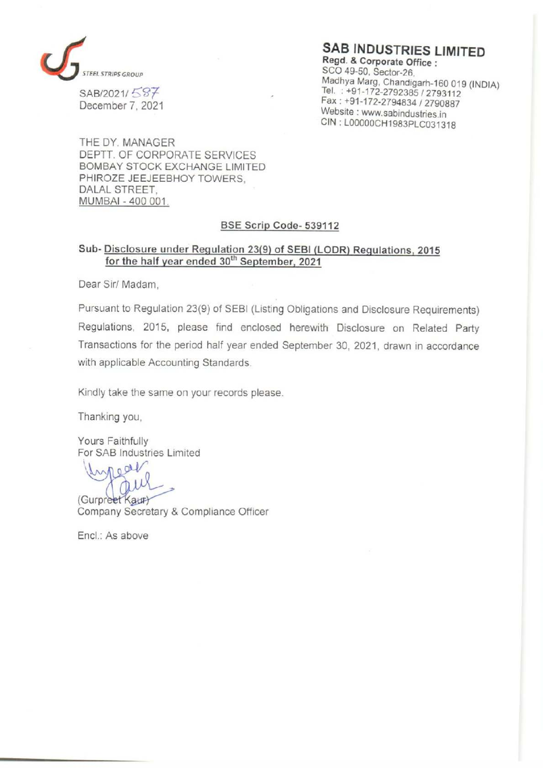

SAB INDUSTRIES LIMITED<br>Regd. & Corporate Office :<br>SCO 49-50, Sector-26. SCO 49-50, Sector-26,<br>
SAB/2021/ SST<br>
SAB/2021/ SST<br>
December 7, 2021 December 7, 2021 **2021 1988 1998 1998 1999 Medicing Contract 1999 1998 1999 Website : www.sabindustries.in** CIN : LOOOOOCH1 983PLC031318

THE DY. MANAGER DEPTT. OF CORPORATE SERVICES BOMBAY STOCK EXCHANGE LIMITED PHIROZE JEEJEEBHOY TOWERS, DALAL STREET, MUMBAI - 400 001.

### BSE Scrip Code- 539112

# Sub- Disclosure under Regulation 23(9) of SEBI (LODR) Regulations, 2015 for the half year ended 30<sup>th</sup> September, 2021

Dear Sir/ Madam,

Pursuant to Regulation 23(9) of SEBI (Listing Obligations and Disclosure Requirements) Regulations, 2015, please find enclosed herewith Disclosure on Related Party Transactions for the period half year ended September 30, 2021, drawn in accordance with applicable Accounting Standards.

Kindly take the same on your records please.

Thanking you,

Yours Faithfully For SAB Industries Limited

near

(Gurpreet Kaur)<br>Company Secretary & Compliance Officer

Encl.: As above